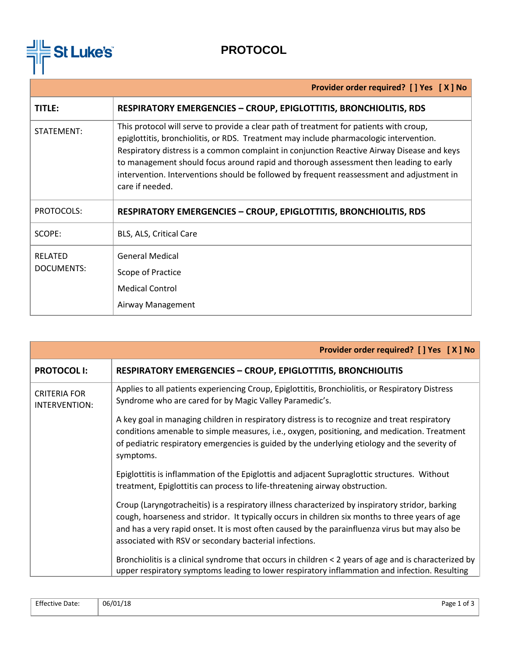

# **PROTOCOL**

|                                     | Provider order required? [ ] Yes [ X ] No                                                                                                                                                                                                                                                                                                                                                                                                                                               |  |
|-------------------------------------|-----------------------------------------------------------------------------------------------------------------------------------------------------------------------------------------------------------------------------------------------------------------------------------------------------------------------------------------------------------------------------------------------------------------------------------------------------------------------------------------|--|
| TITLE:                              | <b>RESPIRATORY EMERGENCIES - CROUP, EPIGLOTTITIS, BRONCHIOLITIS, RDS</b>                                                                                                                                                                                                                                                                                                                                                                                                                |  |
| STATEMENT:                          | This protocol will serve to provide a clear path of treatment for patients with croup,<br>epiglottitis, bronchiolitis, or RDS. Treatment may include pharmacologic intervention.<br>Respiratory distress is a common complaint in conjunction Reactive Airway Disease and keys<br>to management should focus around rapid and thorough assessment then leading to early<br>intervention. Interventions should be followed by frequent reassessment and adjustment in<br>care if needed. |  |
| PROTOCOLS:                          | <b>RESPIRATORY EMERGENCIES - CROUP, EPIGLOTTITIS, BRONCHIOLITIS, RDS</b>                                                                                                                                                                                                                                                                                                                                                                                                                |  |
| SCOPE:                              | BLS, ALS, Critical Care                                                                                                                                                                                                                                                                                                                                                                                                                                                                 |  |
| <b>RELATED</b><br><b>DOCUMENTS:</b> | <b>General Medical</b><br>Scope of Practice<br><b>Medical Control</b><br>Airway Management                                                                                                                                                                                                                                                                                                                                                                                              |  |

|                                      | Provider order required? [ ] Yes [ X ] No                                                                                                                                                                                                                                                                                                                       |  |
|--------------------------------------|-----------------------------------------------------------------------------------------------------------------------------------------------------------------------------------------------------------------------------------------------------------------------------------------------------------------------------------------------------------------|--|
| <b>PROTOCOL I:</b>                   | <b>RESPIRATORY EMERGENCIES - CROUP, EPIGLOTTITIS, BRONCHIOLITIS</b>                                                                                                                                                                                                                                                                                             |  |
| <b>CRITERIA FOR</b><br>INTERVENTION: | Applies to all patients experiencing Croup, Epiglottitis, Bronchiolitis, or Respiratory Distress<br>Syndrome who are cared for by Magic Valley Paramedic's.                                                                                                                                                                                                     |  |
|                                      | A key goal in managing children in respiratory distress is to recognize and treat respiratory<br>conditions amenable to simple measures, i.e., oxygen, positioning, and medication. Treatment<br>of pediatric respiratory emergencies is guided by the underlying etiology and the severity of<br>symptoms.                                                     |  |
|                                      | Epiglottitis is inflammation of the Epiglottis and adjacent Supraglottic structures. Without<br>treatment, Epiglottitis can process to life-threatening airway obstruction.                                                                                                                                                                                     |  |
|                                      | Croup (Laryngotracheitis) is a respiratory illness characterized by inspiratory stridor, barking<br>cough, hoarseness and stridor. It typically occurs in children six months to three years of age<br>and has a very rapid onset. It is most often caused by the parainfluenza virus but may also be<br>associated with RSV or secondary bacterial infections. |  |
|                                      | Bronchiolitis is a clinical syndrome that occurs in children < 2 years of age and is characterized by<br>upper respiratory symptoms leading to lower respiratory inflammation and infection. Resulting                                                                                                                                                          |  |

| <b>Effective Date:</b> | 06/01/18 | Page 1 of 3 |
|------------------------|----------|-------------|
|                        |          |             |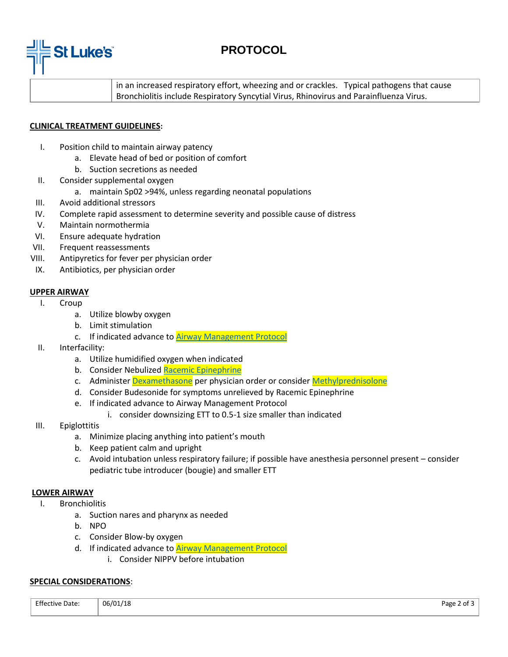

## **PROTOCOL**

in an increased respiratory effort, wheezing and or crackles. Typical pathogens that cause Bronchiolitis include Respiratory Syncytial Virus, Rhinovirus and Parainfluenza Virus.

### **CLINICAL TREATMENT GUIDELINES:**

- I. Position child to maintain airway patency
	- a. Elevate head of bed or position of comfort
	- b. Suction secretions as needed
- II. Consider supplemental oxygen
	- a. maintain Sp02 >94%, unless regarding neonatal populations
- III. Avoid additional stressors
- IV. Complete rapid assessment to determine severity and possible cause of distress
- V. Maintain normothermia
- VI. Ensure adequate hydration
- VII. Frequent reassessments
- VIII. Antipyretics for fever per physician order
- IX. Antibiotics, per physician order

### **UPPER AIRWAY**

- I. Croup
	- a. Utilize blowby oxygen
	- b. Limit stimulation
	- c. If indicated advance to **Airway Management Protocol**
- II. Interfacility:
	- a. Utilize humidified oxygen when indicated
	- b. Consider Nebulized [Racemic Epinephrine](https://docs.wixstatic.com/ugd/44292f_01597be5235441bc84d49f7921dfe7fe.pdf)
	- c. Administe[r Dexamethasone](https://docs.wixstatic.com/ugd/44292f_d60331e002f74b479979a5b743e8604d.pdf) per physician order or consider [Methylprednisolone](https://docs.wixstatic.com/ugd/44292f_f72288fb091f4a42a2099fff8e72a9ca.pdf)
	- d. Consider [Budesonide](https://www.acidremap.com/getSecurePDF.php?id=468&uid=223) for symptoms unrelieved by Racemic Epinephrine
	- e. If indicated advance to Airway Management Protocol
		- i. consider downsizing ETT to 0.5-1 size smaller than indicated
- III. Epiglottitis
	- a. Minimize placing anything into patient's mouth
	- b. Keep patient calm and upright
	- c. Avoid intubation unless respiratory failure; if possible have anesthesia personnel present consider pediatric tube introducer (bougie) and smaller ETT

#### **LOWER AIRWAY**

- I. Bronchiolitis
	- a. Suction nares and pharynx as needed
	- b. NPO
	- c. Consider Blow-by oxygen
	- d. If indicated advance to [Airway Management Protocol](https://docs.wixstatic.com/ugd/44292f_61bc655e742f495f879fa0fd61afad06.pdf)
		- i. Consider NIPPV before intubation

#### **SPECIAL CONSIDERATIONS**:

| <b>Effective Date:</b> | 06/01/18 | Page 2<br>2 of 3 |
|------------------------|----------|------------------|
|                        |          |                  |